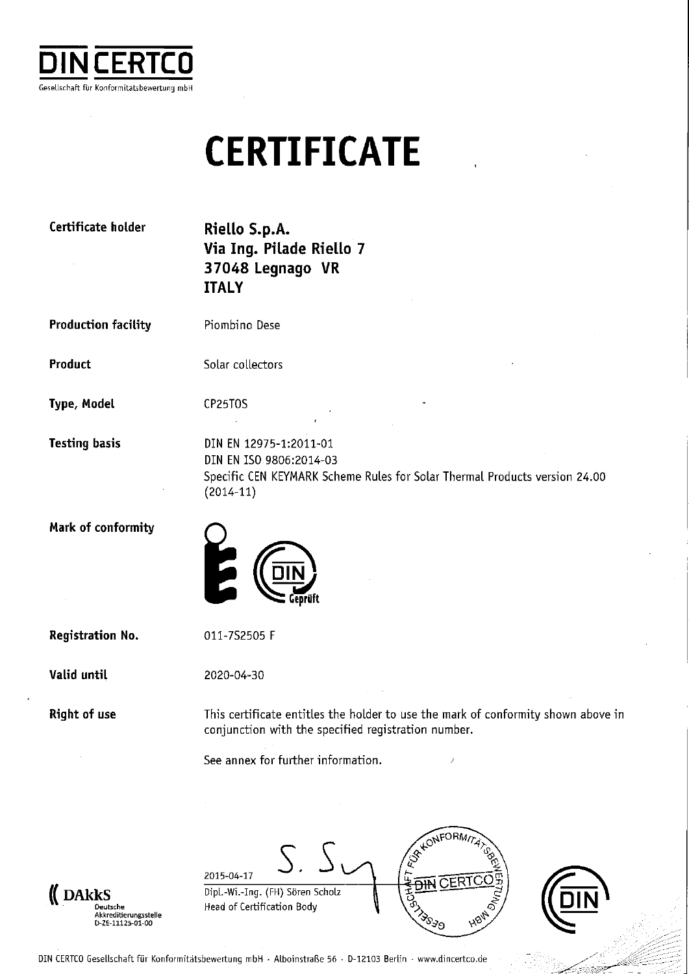

#### **CERTIFICATE**

| Certificate holder         | Riello S.p.A.<br>Via Ing. Pilade Riello 7<br>37048 Legnago VR<br><b>ITALY</b>                                                                  |
|----------------------------|------------------------------------------------------------------------------------------------------------------------------------------------|
| <b>Production facility</b> | Piombino Dese                                                                                                                                  |
| Product                    | Solar collectors                                                                                                                               |
| Type, Model                | CP25TOS                                                                                                                                        |
| <b>Testing basis</b>       | DIN EN 12975-1:2011-01<br>DIN EN ISO 9806:2014-03<br>Specific CEN KEYMARK Scheme Rules for Solar Thermal Products version 24.00<br>$(2014-11)$ |
| Mark of conformity         |                                                                                                                                                |
| <b>Registration No.</b>    | 011-7S2505 F                                                                                                                                   |
| Valid until                | 2020-04-30                                                                                                                                     |
| <b>Right of use</b>        | This certificate entitles the holder to use the mark of conformity shown above in<br>conjunction with the specified registration number.       |
|                            | See annex for further information.<br>$\mathcal{J}$                                                                                            |
|                            | $\sim$                                                                                                                                         |
|                            | RALONFORMITATOR                                                                                                                                |

 $\big( \hspace{-6mm} \begin{array}{cc} \hspace{-6mm} \textbf{DARKS} \hspace{-6mm} \textcolor{red}{\sum_{\text{Deutsche}} } \\ \hspace{-6mm} \textcolor{blue}{\textcolor{blue}{\textbf{A}kkrediterungsstelle}} \\ \hspace{-6mm} \textcolor{blue}{\textbf{D-2E-11125-01-00}} \end{array} \hspace{-6mm} \hspace{-6mm}$ 

2015-04-17 Dipl.-Wi.-Ing. (FH) Sören Scholz Head of Certification Body





DIN CERTCO Gesellschaft für Konformitätsbewertung mbH · Alboinstraße 56 · D-12103 Berlin · www.dincertco.de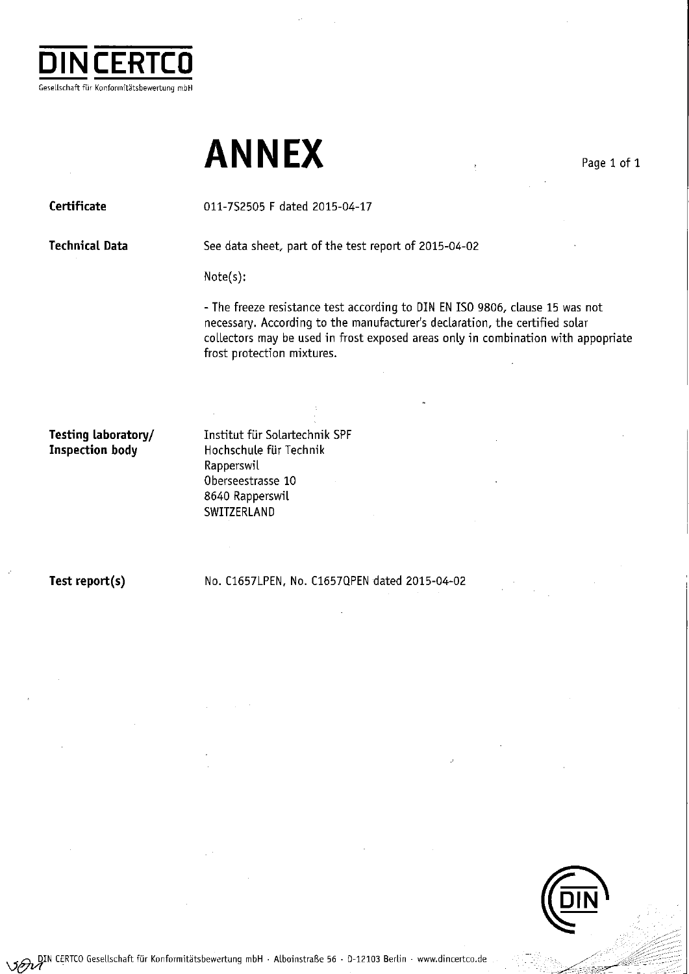

#### **ANNEX**

Certificate

011-7S2505 F dated 2015-04-17

**Technical Data** 

See data sheet, part of the test report of 2015-04-02

Note(s):

- The freeze resistance test according to DIN EN ISO 9806, clause 15 was not necessary. According to the manufacturer's declaration, the certified solar collectors may be used in frost exposed areas only in combination with appopriate frost protection mixtures.

Testing laboratory/ **Inspection body** 

Institut für Solartechnik SPF Hochschule für Technik Rapperswil Oberseestrasse 10 8640 Rapperswil SWITZERLAND

Test report(s)

No. C1657LPEN, No. C1657QPEN dated 2015-04-02



Page 1 of 1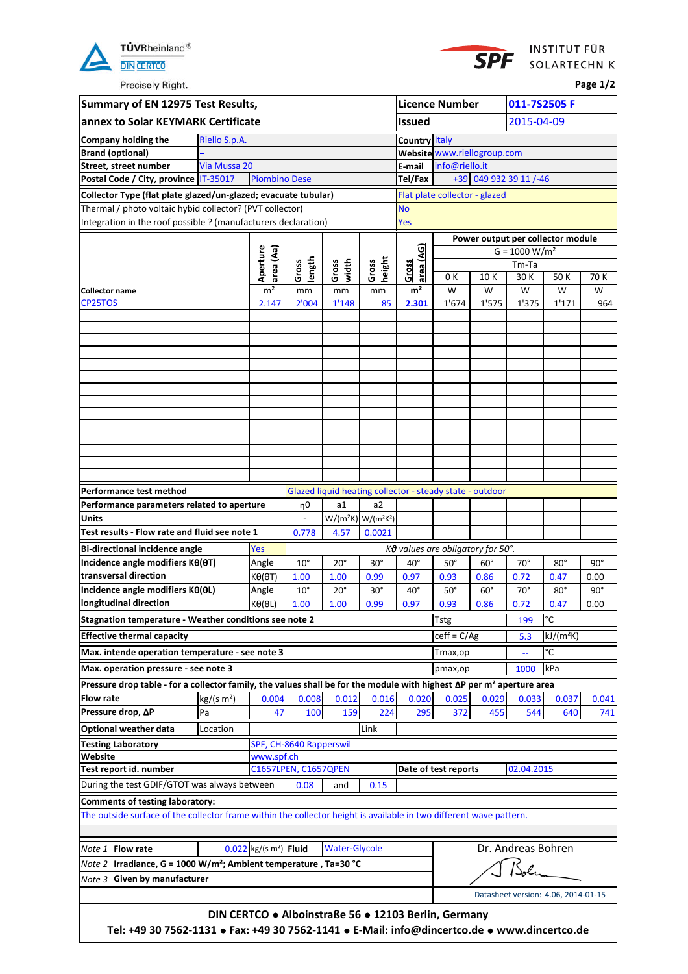



Precisely Right.

**Page 1/2**

|                       | Summary of EN 12975 Test Results,                                                                                                                            |                                                      |                                      |                         |                      |                                               |                      | <b>Licence Number</b>                                    |            | 011-7S2505 F           |                                     |            |  |  |
|-----------------------|--------------------------------------------------------------------------------------------------------------------------------------------------------------|------------------------------------------------------|--------------------------------------|-------------------------|----------------------|-----------------------------------------------|----------------------|----------------------------------------------------------|------------|------------------------|-------------------------------------|------------|--|--|
|                       | annex to Solar KEYMARK Certificate                                                                                                                           |                                                      |                                      |                         |                      |                                               | Issued               |                                                          |            | 2015-04-09             |                                     |            |  |  |
|                       | Company holding the                                                                                                                                          | Riello S.p.A.                                        |                                      |                         |                      |                                               | <b>Country Italy</b> |                                                          |            |                        |                                     |            |  |  |
|                       | <b>Brand (optional)</b>                                                                                                                                      |                                                      |                                      |                         |                      |                                               |                      | Website www.riellogroup.com                              |            |                        |                                     |            |  |  |
|                       | Street, street number                                                                                                                                        | Via Mussa 20                                         |                                      |                         |                      |                                               | E-mail               | info@riello.it                                           |            |                        |                                     |            |  |  |
|                       | Postal Code / City, province IT-35017                                                                                                                        |                                                      | <b>Piombino Dese</b>                 |                         |                      |                                               | Tel/Fax              |                                                          |            | +39 049 932 39 11 /-46 |                                     |            |  |  |
|                       | Collector Type (flat plate glazed/un-glazed; evacuate tubular)                                                                                               |                                                      |                                      |                         |                      |                                               |                      | Flat plate collector - glazed                            |            |                        |                                     |            |  |  |
|                       | Thermal / photo voltaic hybid collector? (PVT collector)                                                                                                     |                                                      |                                      |                         |                      |                                               | <b>No</b>            |                                                          |            |                        |                                     |            |  |  |
|                       | Integration in the roof possible ? (manufacturers declaration)                                                                                               |                                                      |                                      |                         |                      |                                               | Yes                  |                                                          |            |                        |                                     |            |  |  |
|                       |                                                                                                                                                              |                                                      |                                      |                         |                      |                                               |                      |                                                          |            | $G = 1000 W/m2$        | Power output per collector module   |            |  |  |
|                       |                                                                                                                                                              |                                                      | Aperture<br>area (Aa)                |                         |                      |                                               | area (AG)            |                                                          |            | Tm-Ta                  |                                     |            |  |  |
|                       |                                                                                                                                                              |                                                      |                                      | length<br>Gross         | width<br>Gross       | height<br>Gross                               | Gross                | 0 K                                                      | 10K        | 30 K                   | 50K                                 | 70 K       |  |  |
| <b>Collector name</b> |                                                                                                                                                              |                                                      | m <sup>2</sup>                       | mm                      | mm                   | mm                                            | m <sup>2</sup>       | W                                                        | W          | W                      | W                                   | w          |  |  |
| CP25TOS               |                                                                                                                                                              |                                                      | 2.147                                | 2'004                   | 1'148                | 85                                            | 2.301                | 1'674                                                    | 1'575      | 1'375                  | 1'171                               | 964        |  |  |
|                       |                                                                                                                                                              |                                                      |                                      |                         |                      |                                               |                      |                                                          |            |                        |                                     |            |  |  |
|                       |                                                                                                                                                              |                                                      |                                      |                         |                      |                                               |                      |                                                          |            |                        |                                     |            |  |  |
|                       |                                                                                                                                                              |                                                      |                                      |                         |                      |                                               |                      |                                                          |            |                        |                                     |            |  |  |
|                       |                                                                                                                                                              |                                                      |                                      |                         |                      |                                               |                      |                                                          |            |                        |                                     |            |  |  |
|                       |                                                                                                                                                              |                                                      |                                      |                         |                      |                                               |                      |                                                          |            |                        |                                     |            |  |  |
|                       |                                                                                                                                                              |                                                      |                                      |                         |                      |                                               |                      |                                                          |            |                        |                                     |            |  |  |
|                       |                                                                                                                                                              |                                                      |                                      |                         |                      |                                               |                      |                                                          |            |                        |                                     |            |  |  |
|                       |                                                                                                                                                              |                                                      |                                      |                         |                      |                                               |                      |                                                          |            |                        |                                     |            |  |  |
|                       |                                                                                                                                                              |                                                      |                                      |                         |                      |                                               |                      |                                                          |            |                        |                                     |            |  |  |
|                       |                                                                                                                                                              |                                                      |                                      |                         |                      |                                               |                      |                                                          |            |                        |                                     |            |  |  |
|                       |                                                                                                                                                              |                                                      |                                      |                         |                      |                                               |                      |                                                          |            |                        |                                     |            |  |  |
|                       | Performance test method                                                                                                                                      |                                                      |                                      |                         |                      |                                               |                      | Glazed liquid heating collector - steady state - outdoor |            |                        |                                     |            |  |  |
|                       | Performance parameters related to aperture                                                                                                                   |                                                      |                                      | η0                      | a1                   | a2                                            |                      |                                                          |            |                        |                                     |            |  |  |
| <b>Units</b>          |                                                                                                                                                              |                                                      |                                      |                         |                      | $W/(m^2K)$ W/(m <sup>2</sup> K <sup>2</sup> ) |                      |                                                          |            |                        |                                     |            |  |  |
|                       | Test results - Flow rate and fluid see note 1                                                                                                                |                                                      |                                      | 0.778                   | 4.57                 | 0.0021                                        |                      |                                                          |            |                        |                                     |            |  |  |
|                       | <b>Bi-directional incidence angle</b>                                                                                                                        |                                                      | Yes                                  |                         |                      |                                               |                      | Κθ values are obligatory for 50°.                        |            |                        |                                     |            |  |  |
|                       | Incidence angle modifiers $K\theta(\theta T)$                                                                                                                |                                                      | Angle                                | $10^{\circ}$            | $20^{\circ}$         | $30^{\circ}$                                  | $40^{\circ}$         | $50^\circ$                                               | $60^\circ$ | $70^{\circ}$           | $80^\circ$                          | $90^\circ$ |  |  |
|                       | transversal direction                                                                                                                                        |                                                      | $K\Theta(\Theta T)$                  | 1.00                    | 1.00                 | 0.99                                          | 0.97                 | 0.93                                                     | 0.86       | 0.72                   | 0.47                                | 0.00       |  |  |
|                       | Incidence angle modifiers Kθ(θL)                                                                                                                             |                                                      | Angle                                | $10^{\circ}$            | $20^{\circ}$         | $30^{\circ}$                                  | $40^{\circ}$         | $50^\circ$                                               | $60^\circ$ | $70^\circ$             | $80^\circ$                          | $90^\circ$ |  |  |
|                       | longitudinal direction                                                                                                                                       |                                                      | $K\theta(\theta L)$                  | 1.00                    | 1.00                 | 0.99                                          | 0.97                 | 0.93                                                     | 0.86       | 0.72<br>0.47<br>0.00   |                                     |            |  |  |
|                       | Stagnation temperature - Weather conditions see note 2                                                                                                       |                                                      |                                      |                         |                      |                                               |                      | <b>Tstg</b>                                              |            | 199                    | °C                                  |            |  |  |
|                       | <b>Effective thermal capacity</b>                                                                                                                            |                                                      |                                      |                         |                      |                                               |                      | $c$ eff = $C/Ag$                                         |            | $kJ/(m^2K)$<br>5.3     |                                     |            |  |  |
|                       | Max. intende operation temperature - see note 3                                                                                                              |                                                      |                                      |                         |                      |                                               |                      | Tmax,op                                                  |            | °C<br>ц.               |                                     |            |  |  |
|                       | Max. operation pressure - see note 3                                                                                                                         |                                                      |                                      |                         |                      |                                               |                      | pmax,op                                                  |            | kPa<br>1000            |                                     |            |  |  |
|                       | Pressure drop table - for a collector family, the values shall be for the module with highest ΔP per m <sup>2</sup> aperture area                            |                                                      |                                      |                         |                      |                                               |                      |                                                          |            |                        |                                     |            |  |  |
| <b>Flow rate</b>      |                                                                                                                                                              | kg/(s m <sup>2</sup> )                               | 0.004                                | 0.008                   | 0.012                | 0.016                                         | 0.020                | 0.025                                                    | 0.029      | 0.033                  | 0.037                               | 0.041      |  |  |
|                       | Pressure drop, ∆P                                                                                                                                            | Pa                                                   | 47                                   | 100                     | 159                  | 224                                           | 295                  | 372                                                      | 455        | 544                    | 640                                 | 741        |  |  |
|                       | <b>Optional weather data</b>                                                                                                                                 | Location                                             |                                      |                         |                      | Link                                          |                      |                                                          |            |                        |                                     |            |  |  |
|                       | <b>Testing Laboratory</b>                                                                                                                                    |                                                      |                                      | SPF, CH-8640 Rapperswil |                      |                                               |                      |                                                          |            |                        |                                     |            |  |  |
| Website               | Test report id. number                                                                                                                                       |                                                      | www.spf.ch                           | C1657LPEN, C1657QPEN    |                      |                                               |                      | Date of test reports                                     |            | 02.04.2015             |                                     |            |  |  |
|                       |                                                                                                                                                              |                                                      |                                      |                         |                      |                                               |                      |                                                          |            |                        |                                     |            |  |  |
|                       | During the test GDIF/GTOT was always between                                                                                                                 |                                                      |                                      | 0.08                    | and                  | 0.15                                          |                      |                                                          |            |                        |                                     |            |  |  |
|                       | <b>Comments of testing laboratory:</b><br>The outside surface of the collector frame within the collector height is available in two different wave pattern. |                                                      |                                      |                         |                      |                                               |                      |                                                          |            |                        |                                     |            |  |  |
|                       |                                                                                                                                                              |                                                      |                                      |                         |                      |                                               |                      |                                                          |            |                        |                                     |            |  |  |
|                       |                                                                                                                                                              |                                                      |                                      |                         |                      |                                               |                      |                                                          |            |                        |                                     |            |  |  |
| Note 1                | <b>Flow rate</b>                                                                                                                                             |                                                      | $0.022$ kg/(s m <sup>2</sup> ) Fluid |                         | <b>Water-Glycole</b> |                                               |                      |                                                          |            | Dr. Andreas Bohren     |                                     |            |  |  |
| Note 2                | Irradiance, G = 1000 W/m <sup>2</sup> ; Ambient temperature, Ta=30 °C                                                                                        |                                                      |                                      |                         |                      |                                               |                      |                                                          |            |                        |                                     |            |  |  |
| Note 3                | Given by manufacturer                                                                                                                                        |                                                      |                                      |                         |                      |                                               |                      |                                                          |            |                        |                                     |            |  |  |
|                       |                                                                                                                                                              |                                                      |                                      |                         |                      |                                               |                      |                                                          |            |                        | Datasheet version: 4.06, 2014-01-15 |            |  |  |
|                       |                                                                                                                                                              | DIN CERTCO . Alboinstraße 56 . 12103 Berlin, Germany |                                      |                         |                      |                                               |                      |                                                          |            |                        |                                     |            |  |  |
|                       | Tel: +49 30 7562-1131 • Fax: +49 30 7562-1141 • E-Mail: info@dincertco.de • www.dincertco.de                                                                 |                                                      |                                      |                         |                      |                                               |                      |                                                          |            |                        |                                     |            |  |  |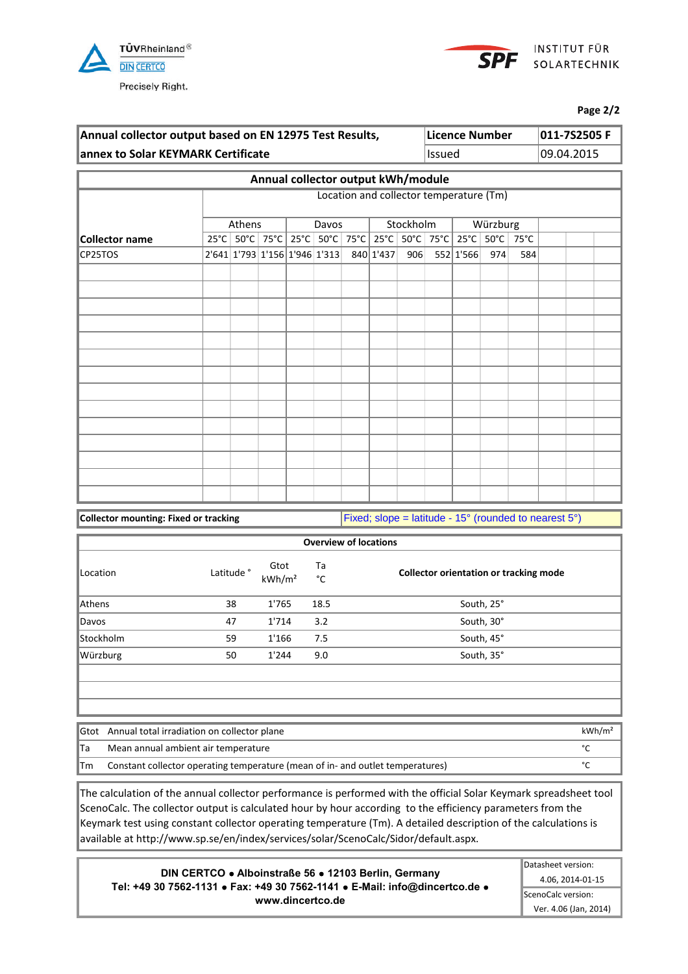



**Page 2/2**

| Annual collector output based on EN 12975 Test Results, | Licence Number | $ 011 - 7S2505 F $ |
|---------------------------------------------------------|----------------|--------------------|
| annex to Solar KEYMARK Certificate                      | llssued        | 09.04.2015         |
|                                                         |                |                    |

|                       |                               |  |       | Annual collector output kWh/module                                                |           |           |          |     |  |  |
|-----------------------|-------------------------------|--|-------|-----------------------------------------------------------------------------------|-----------|-----------|----------|-----|--|--|
|                       |                               |  |       | Location and collector temperature (Tm)                                           |           |           |          |     |  |  |
|                       | Athens                        |  | Davos |                                                                                   | Stockholm |           | Würzburg |     |  |  |
| <b>Collector name</b> |                               |  |       | 25°C   50°C   75°C   25°C   50°C   75°C   25°C   75°C   25°C   25°C   75°C   75°C |           |           |          |     |  |  |
| CP25TOS               | 2'641 1'793 1'156 1'946 1'313 |  |       | 840 1'437                                                                         | 906       | 552 1'566 | 974      | 584 |  |  |
|                       |                               |  |       |                                                                                   |           |           |          |     |  |  |
|                       |                               |  |       |                                                                                   |           |           |          |     |  |  |
|                       |                               |  |       |                                                                                   |           |           |          |     |  |  |
|                       |                               |  |       |                                                                                   |           |           |          |     |  |  |
|                       |                               |  |       |                                                                                   |           |           |          |     |  |  |
|                       |                               |  |       |                                                                                   |           |           |          |     |  |  |
|                       |                               |  |       |                                                                                   |           |           |          |     |  |  |
|                       |                               |  |       |                                                                                   |           |           |          |     |  |  |
|                       |                               |  |       |                                                                                   |           |           |          |     |  |  |
|                       |                               |  |       |                                                                                   |           |           |          |     |  |  |
|                       |                               |  |       |                                                                                   |           |           |          |     |  |  |
|                       |                               |  |       |                                                                                   |           |           |          |     |  |  |
|                       |                               |  |       |                                                                                   |           |           |          |     |  |  |
|                       |                               |  |       |                                                                                   |           |           |          |     |  |  |

**Collector mounting: Fixed or tracking Fixed Fixed; slope = latitude - 15° (rounded to nearest 5°)** 

|           |                       |                            |          | <b>Overview of locations</b>                  |
|-----------|-----------------------|----------------------------|----------|-----------------------------------------------|
| Location  | Latitude <sup>°</sup> | Gtot<br>kWh/m <sup>2</sup> | Ta<br>°C | <b>Collector orientation or tracking mode</b> |
| Athens    | 38                    | 1'765                      | 18.5     | South, 25°                                    |
| Davos     | 47                    | 1'714                      | 3.2      | South, 30°                                    |
| Stockholm | 59                    | 1'166                      | 7.5      | South, 45°                                    |
| Würzburg  | 50                    | 1'244                      | 9.0      | South, 35°                                    |
|           |                       |                            |          |                                               |
|           |                       |                            |          |                                               |

|     | Gtot Annual total irradiation on collector plane                               | kWh/m <sup>2</sup> |
|-----|--------------------------------------------------------------------------------|--------------------|
| ∥Ta | Mean annual ambient air temperature                                            |                    |
| lTm | Constant collector operating temperature (mean of in- and outlet temperatures) |                    |

The calculation of the annual collector performance is performed with the official Solar Keymark spreadsheet tool ScenoCalc. The collector output is calculated hour by hour according to the efficiency parameters from the Keymark test using constant collector operating temperature (Tm). A detailed description of the calculations is available at http://www.sp.se/en/index/services/solar/ScenoCalc/Sidor/default.aspx.

**DIN CERTCO Alboinstraße 56 12103 Berlin, Germany Tel: +49 30 7562-1131 Fax: +49 30 7562-1141 E-Mail: info@dincertco.de www.dincertco.de**

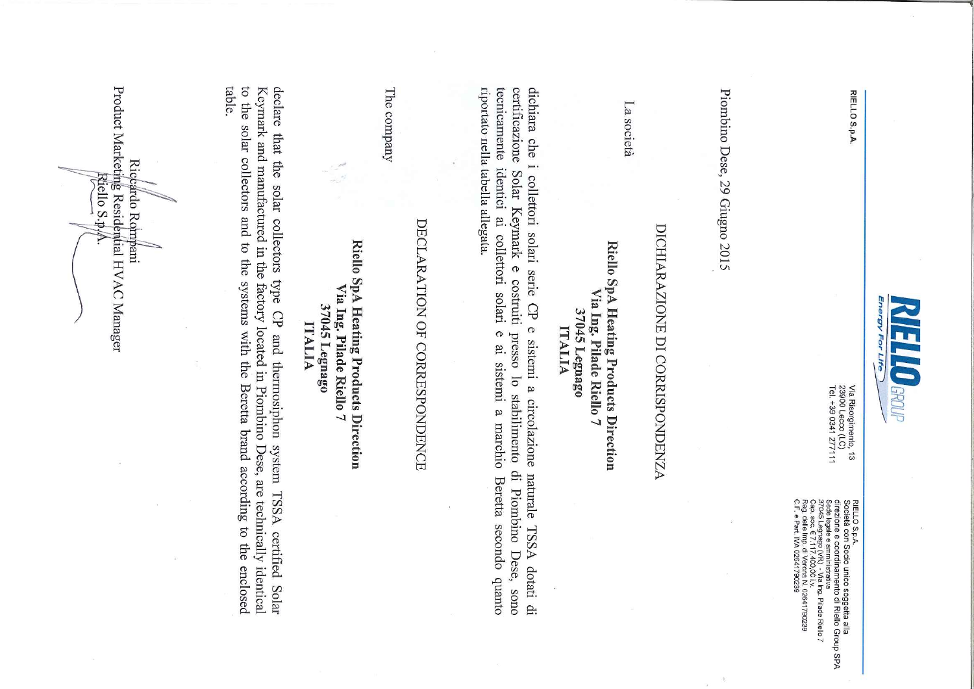

RIELLO S.p.A.

Via Risorgimento, 13<br>23900 Lecco (LC)<br>Tel. +39 0341 277111

RIELLO S.p.A.<br>diSocietà con Socio unico soggetta alla<br>dise egale e amministrativa<br>Sade legale e amministrativa<br>cor e legale e amministrativa<br>car dele In 2.1 di Veona N. 02641790239<br>C.F. e Patt, IVA 02641790239<br>C.F. e Patt,

Piombino Dese, 29 Giugno 2015

# DICHIARAZIONE DI CORRISPONDENZA

La società

## Riello SpA Heating Products Direction Via Ing. Pilade Riello 7 37045 Legnago ITALIA

riportato nella tabella allegata. tecnicamente identici ai collettori solari certificazione dichiara che i collettori solari serie CP e sistemi a circolazione Solar Keymark e costruiti presso lo stabilimento di Piombino Dese, sono  $\sigma$ ai sistemi a marchio Beretta secondo quanto naturale TSSA dotati di

## DECLARATION OF CORRESPONDENCE

The company

## Riello SpA Heating Products Direction Via Ing. Pilade Riello 7 37045 Legnago **ITALIA**

table. to the solar collectors and to the systems with the Beretta brand according to the enclosed Keymark and manufactured in the factory located in Piombino Dese, are technically identical declare that the solar collectors type CP and thermosiphon system TSSA certified Solar

Product Marketing Residential HVAC Manager Riccardo Rompani Riello S.p